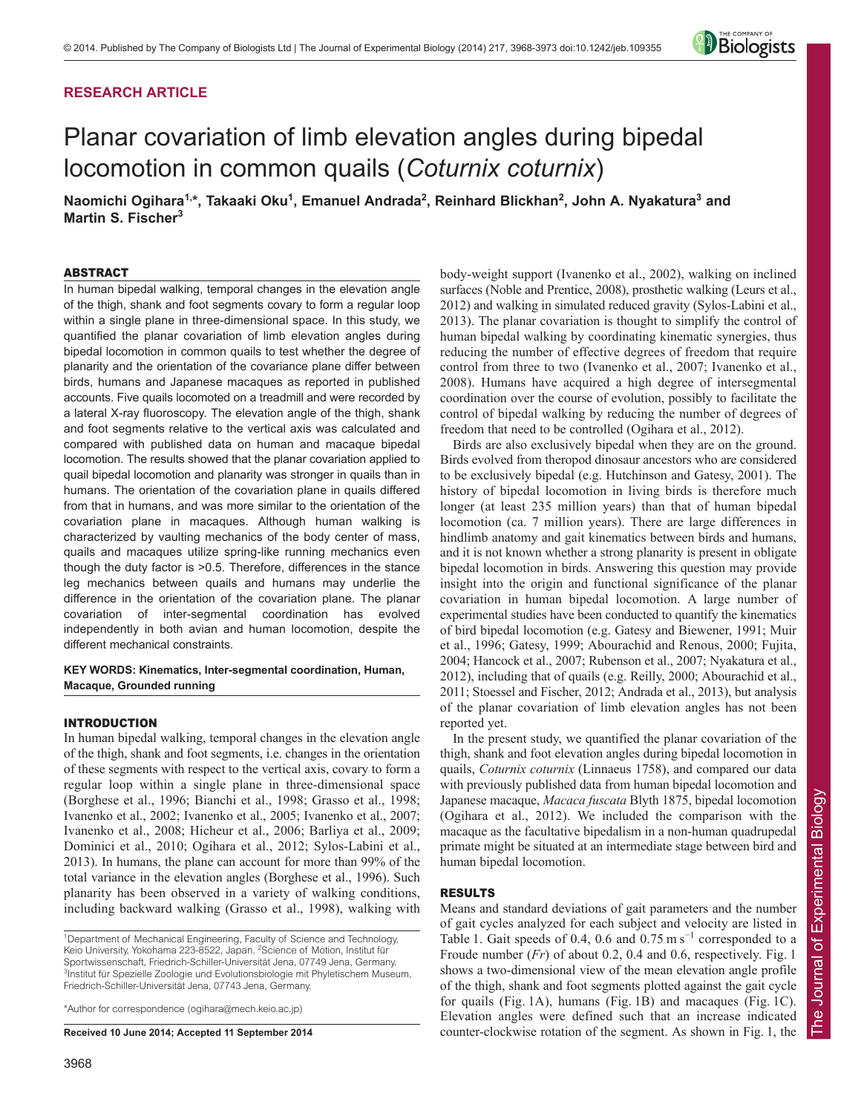# **RESEARCH ARTICLE**

# Planar covariation of limb elevation angles during bipedal locomotion in common quails (*Coturnix coturnix*)

**Naomichi Ogihara1,\*, Takaaki Oku1 , Emanuel Andrada2 , Reinhard Blickhan2 , John A. Nyakatura3 and Martin S. Fischer3**

## ABSTRACT

In human bipedal walking, temporal changes in the elevation angle of the thigh, shank and foot segments covary to form a regular loop within a single plane in three-dimensional space. In this study, we quantified the planar covariation of limb elevation angles during bipedal locomotion in common quails to test whether the degree of planarity and the orientation of the covariance plane differ between birds, humans and Japanese macaques as reported in published accounts. Five quails locomoted on a treadmill and were recorded by a lateral X-ray fluoroscopy. The elevation angle of the thigh, shank and foot segments relative to the vertical axis was calculated and compared with published data on human and macaque bipedal locomotion. The results showed that the planar covariation applied to quail bipedal locomotion and planarity was stronger in quails than in humans. The orientation of the covariation plane in quails differed from that in humans, and was more similar to the orientation of the covariation plane in macaques. Although human walking is characterized by vaulting mechanics of the body center of mass, quails and macaques utilize spring-like running mechanics even though the duty factor is >0.5. Therefore, differences in the stance leg mechanics between quails and humans may underlie the difference in the orientation of the covariation plane. The planar covariation of inter-segmental coordination has evolved independently in both avian and human locomotion, despite the different mechanical constraints.

**KEY WORDS: Kinematics, Inter-segmental coordination, Human, Macaque, Grounded running**

## INTRODUCTION

In human bipedal walking, temporal changes in the elevation angle of the thigh, shank and foot segments, i.e. changes in the orientation of these segments with respect to the vertical axis, covary to form a regular loop within a single plane in three-dimensional space (Borghese et al., 1996; Bianchi et al., 1998; Grasso et al., 1998; Ivanenko et al., 2002; Ivanenko et al., 2005; Ivanenko et al., 2007; Ivanenko et al., 2008; Hicheur et al., 2006; Barliya et al., 2009; Dominici et al., 2010; Ogihara et al., 2012; Sylos-Labini et al., 2013). In humans, the plane can account for more than 99% of the total variance in the elevation angles (Borghese et al., 1996). Such planarity has been observed in a variety of walking conditions, including backward walking (Grasso et al., 1998), walking with

\*Author for correspondence (ogihara@mech.keio.ac.jp)

**Received 10 June 2014; Accepted 11 September 2014**

body-weight support (Ivanenko et al., 2002), walking on inclined surfaces (Noble and Prentice, 2008), prosthetic walking (Leurs et al., 2012) and walking in simulated reduced gravity (Sylos-Labini et al., 2013). The planar covariation is thought to simplify the control of human bipedal walking by coordinating kinematic synergies, thus reducing the number of effective degrees of freedom that require control from three to two (Ivanenko et al., 2007; Ivanenko et al., 2008). Humans have acquired a high degree of intersegmental coordination over the course of evolution, possibly to facilitate the control of bipedal walking by reducing the number of degrees of freedom that need to be controlled (Ogihara et al., 2012).

Birds are also exclusively bipedal when they are on the ground. Birds evolved from theropod dinosaur ancestors who are considered to be exclusively bipedal (e.g. Hutchinson and Gatesy, 2001). The history of bipedal locomotion in living birds is therefore much longer (at least 235 million years) than that of human bipedal locomotion (ca. 7 million years). There are large differences in hindlimb anatomy and gait kinematics between birds and humans, and it is not known whether a strong planarity is present in obligate bipedal locomotion in birds. Answering this question may provide insight into the origin and functional significance of the planar covariation in human bipedal locomotion. A large number of experimental studies have been conducted to quantify the kinematics of bird bipedal locomotion (e.g. Gatesy and Biewener, 1991; Muir et al., 1996; Gatesy, 1999; Abourachid and Renous, 2000; Fujita, 2004; Hancock et al., 2007; Rubenson et al., 2007; Nyakatura et al., 2012), including that of quails (e.g. Reilly, 2000; Abourachid et al., 2011; Stoessel and Fischer, 2012; Andrada et al., 2013), but analysis of the planar covariation of limb elevation angles has not been reported yet.

In the present study, we quantified the planar covariation of the thigh, shank and foot elevation angles during bipedal locomotion in quails, *Coturnix coturnix* (Linnaeus 1758), and compared our data with previously published data from human bipedal locomotion and Japanese macaque, *Macaca fuscata* Blyth 1875, bipedal locomotion (Ogihara et al., 2012). We included the comparison with the macaque as the facultative bipedalism in a non-human quadrupedal primate might be situated at an intermediate stage between bird and human bipedal locomotion.

## RESULTS

Means and standard deviations of gait parameters and the number of gait cycles analyzed for each subject and velocity are listed in Table 1. Gait speeds of 0.4, 0.6 and 0.75 m s<sup>-1</sup> corresponded to a Froude number (*Fr*) of about 0.2, 0.4 and 0.6, respectively. Fig. 1 shows a two-dimensional view of the mean elevation angle profile of the thigh, shank and foot segments plotted against the gait cycle for quails (Fig. 1A), humans (Fig. 1B) and macaques (Fig. 1C). Elevation angles were defined such that an increase indicated counter-clockwise rotation of the segment. As shown in Fig. 1, the



<sup>&</sup>lt;sup>1</sup>Department of Mechanical Engineering, Faculty of Science and Technology, Keio University, Yokohama 223-8522, Japan. <sup>2</sup>Science of Motion, Institut für Sportwissenschaft, Friedrich-Schiller-Universität Jena, 07749 Jena, Germany. <sup>3</sup>Institut für Spezielle Zoologie und Evolutionsbiologie mit Phyletischem Museum, Friedrich-Schiller-Universität Jena, 07743 Jena, Germany.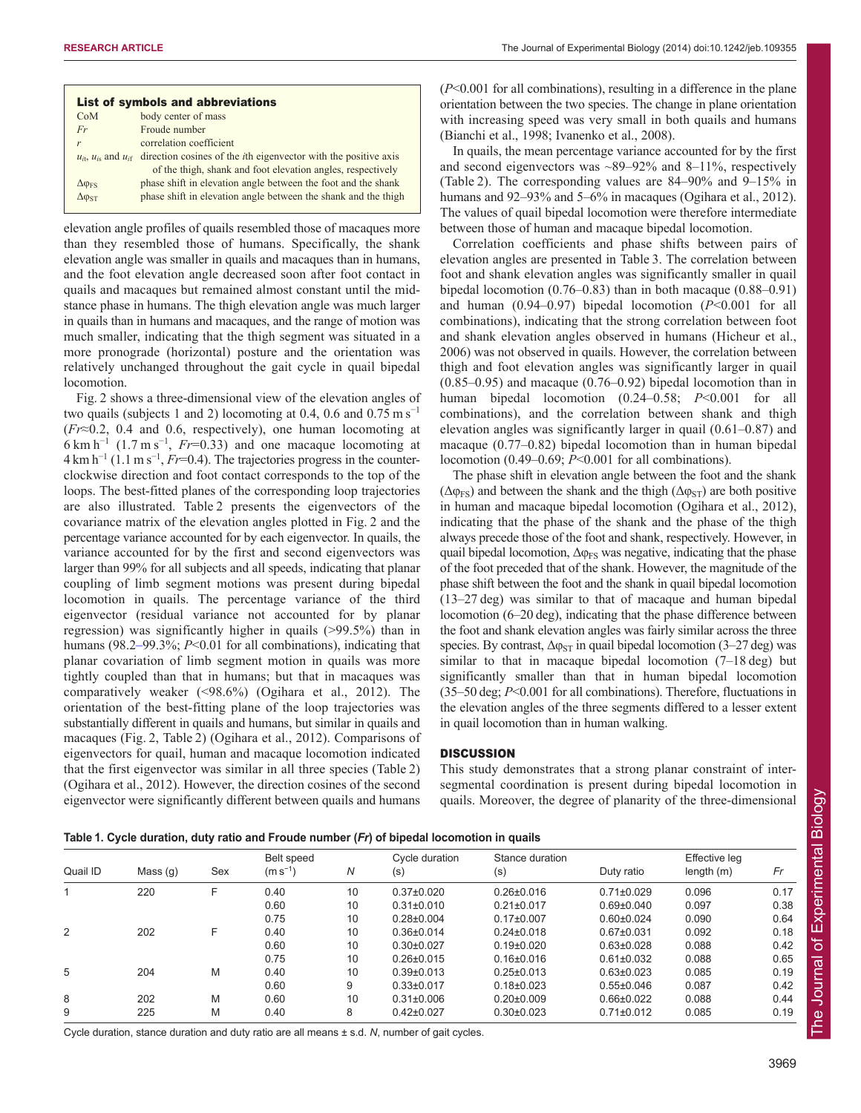|                       | List of symbols and abbreviations                                                                                                                                       |
|-----------------------|-------------------------------------------------------------------------------------------------------------------------------------------------------------------------|
| CoM                   | body center of mass                                                                                                                                                     |
| Fr                    | Froude number                                                                                                                                                           |
| r                     | correlation coefficient                                                                                                                                                 |
|                       | $u_{it}$ , $u_{is}$ and $u_{it}$ direction cosines of the <i>i</i> th eigenvector with the positive axis<br>of the thigh, shank and foot elevation angles, respectively |
| $\Delta \varphi_{FS}$ | phase shift in elevation angle between the foot and the shank                                                                                                           |
| $\Delta \phi_{ST}$    | phase shift in elevation angle between the shank and the thigh                                                                                                          |

elevation angle profiles of quails resembled those of macaques more than they resembled those of humans. Specifically, the shank elevation angle was smaller in quails and macaques than in humans, and the foot elevation angle decreased soon after foot contact in quails and macaques but remained almost constant until the midstance phase in humans. The thigh elevation angle was much larger in quails than in humans and macaques, and the range of motion was much smaller, indicating that the thigh segment was situated in a more pronograde (horizontal) posture and the orientation was relatively unchanged throughout the gait cycle in quail bipedal locomotion.

Fig. 2 shows a three-dimensional view of the elevation angles of two quails (subjects 1 and 2) locomoting at 0.4, 0.6 and 0.75 m s<sup>-1</sup> (*Fr*≈0.2, 0.4 and 0.6, respectively), one human locomoting at  $6 \text{ km h}^{-1}$  (1.7 m s<sup>-1</sup>, *Fr*=0.33) and one macaque locomoting at 4 km h<sup>-1</sup> (1.1 m s<sup>-1</sup>, *Fr*=0.4). The trajectories progress in the counterclockwise direction and foot contact corresponds to the top of the loops. The best-fitted planes of the corresponding loop trajectories are also illustrated. Table 2 presents the eigenvectors of the covariance matrix of the elevation angles plotted in Fig. 2 and the percentage variance accounted for by each eigenvector. In quails, the variance accounted for by the first and second eigenvectors was larger than 99% for all subjects and all speeds, indicating that planar coupling of limb segment motions was present during bipedal locomotion in quails. The percentage variance of the third eigenvector (residual variance not accounted for by planar regression) was significantly higher in quails (>99.5%) than in humans (98.2–99.3%; *P*<0.01 for all combinations), indicating that planar covariation of limb segment motion in quails was more tightly coupled than that in humans; but that in macaques was comparatively weaker (<98.6%) (Ogihara et al., 2012). The orientation of the best-fitting plane of the loop trajectories was substantially different in quails and humans, but similar in quails and macaques (Fig. 2, Table 2) (Ogihara et al., 2012). Comparisons of eigenvectors for quail, human and macaque locomotion indicated that the first eigenvector was similar in all three species (Table 2) (Ogihara et al., 2012). However, the direction cosines of the second eigenvector were significantly different between quails and humans (*P*<0.001 for all combinations), resulting in a difference in the plane orientation between the two species. The change in plane orientation with increasing speed was very small in both quails and humans (Bianchi et al., 1998; Ivanenko et al., 2008).

In quails, the mean percentage variance accounted for by the first and second eigenvectors was  $\sim 89-92\%$  and  $8-11\%$ , respectively (Table 2). The corresponding values are 84–90% and 9–15% in humans and 92–93% and 5–6% in macaques (Ogihara et al., 2012). The values of quail bipedal locomotion were therefore intermediate between those of human and macaque bipedal locomotion.

Correlation coefficients and phase shifts between pairs of elevation angles are presented in Table 3. The correlation between foot and shank elevation angles was significantly smaller in quail bipedal locomotion (0.76–0.83) than in both macaque (0.88–0.91) and human (0.94–0.97) bipedal locomotion (*P*<0.001 for all combinations), indicating that the strong correlation between foot and shank elevation angles observed in humans (Hicheur et al., 2006) was not observed in quails. However, the correlation between thigh and foot elevation angles was significantly larger in quail (0.85–0.95) and macaque (0.76–0.92) bipedal locomotion than in human bipedal locomotion (0.24–0.58; *P*<0.001 for all combinations), and the correlation between shank and thigh elevation angles was significantly larger in quail (0.61–0.87) and macaque (0.77–0.82) bipedal locomotion than in human bipedal locomotion (0.49–0.69; *P*<0.001 for all combinations).

The phase shift in elevation angle between the foot and the shank ( $\Delta \varphi_{FS}$ ) and between the shank and the thigh ( $\Delta \varphi_{ST}$ ) are both positive in human and macaque bipedal locomotion (Ogihara et al., 2012), indicating that the phase of the shank and the phase of the thigh always precede those of the foot and shank, respectively. However, in quail bipedal locomotion,  $\Delta \varphi_{FS}$  was negative, indicating that the phase of the foot preceded that of the shank. However, the magnitude of the phase shift between the foot and the shank in quail bipedal locomotion (13–27 deg) was similar to that of macaque and human bipedal locomotion (6–20 deg), indicating that the phase difference between the foot and shank elevation angles was fairly similar across the three species. By contrast,  $\Delta \varphi_{ST}$  in quail bipedal locomotion (3–27 deg) was similar to that in macaque bipedal locomotion (7–18 deg) but significantly smaller than that in human bipedal locomotion (35–50 deg; *P*<0.001 for all combinations). Therefore, fluctuations in the elevation angles of the three segments differed to a lesser extent in quail locomotion than in human walking.

## **DISCUSSION**

This study demonstrates that a strong planar constraint of intersegmental coordination is present during bipedal locomotion in quails. Moreover, the degree of planarity of the three-dimensional

| Table 1. Cycle duration, duty ratio and Froude number (Fr) of bipedal locomotion in quails |
|--------------------------------------------------------------------------------------------|
|--------------------------------------------------------------------------------------------|

| Quail ID | Mass $(q)$ | Sex | Belt speed<br>$(m s^{-1})$ | N  | Cycle duration<br>(s) | Stance duration<br>$(\mathsf{s})$ | Duty ratio       | Effective leg<br>length $(m)$ | Fr   |
|----------|------------|-----|----------------------------|----|-----------------------|-----------------------------------|------------------|-------------------------------|------|
|          | 220        |     | 0.40                       | 10 | $0.37 \pm 0.020$      | $0.26 \pm 0.016$                  | $0.71 \pm 0.029$ | 0.096                         | 0.17 |
|          |            |     | 0.60                       | 10 | $0.31 \pm 0.010$      | $0.21 \pm 0.017$                  | $0.69 \pm 0.040$ | 0.097                         | 0.38 |
|          |            |     | 0.75                       | 10 | $0.28 + 0.004$        | $0.17 \pm 0.007$                  | $0.60 \pm 0.024$ | 0.090                         | 0.64 |
| 2        | 202        |     | 0.40                       | 10 | $0.36 \pm 0.014$      | $0.24 \pm 0.018$                  | $0.67 \pm 0.031$ | 0.092                         | 0.18 |
|          |            |     | 0.60                       | 10 | $0.30\pm0.027$        | $0.19 \pm 0.020$                  | $0.63 \pm 0.028$ | 0.088                         | 0.42 |
|          |            |     | 0.75                       | 10 | $0.26 \pm 0.015$      | $0.16 \pm 0.016$                  | $0.61 \pm 0.032$ | 0.088                         | 0.65 |
| 5        | 204        | M   | 0.40                       | 10 | $0.39 \pm 0.013$      | $0.25 \pm 0.013$                  | $0.63 \pm 0.023$ | 0.085                         | 0.19 |
|          |            |     | 0.60                       | 9  | $0.33 \pm 0.017$      | $0.18 + 0.023$                    | $0.55 \pm 0.046$ | 0.087                         | 0.42 |
| 8        | 202        | M   | 0.60                       | 10 | $0.31 \pm 0.006$      | $0.20 \pm 0.009$                  | $0.66 \pm 0.022$ | 0.088                         | 0.44 |
| 9        | 225        | M   | 0.40                       | 8  | $0.42 \pm 0.027$      | $0.30 \pm 0.023$                  | $0.71 \pm 0.012$ | 0.085                         | 0.19 |
|          |            |     |                            |    |                       |                                   |                  |                               |      |

Cycle duration, stance duration and duty ratio are all means ± s.d. *N*, number of gait cycles.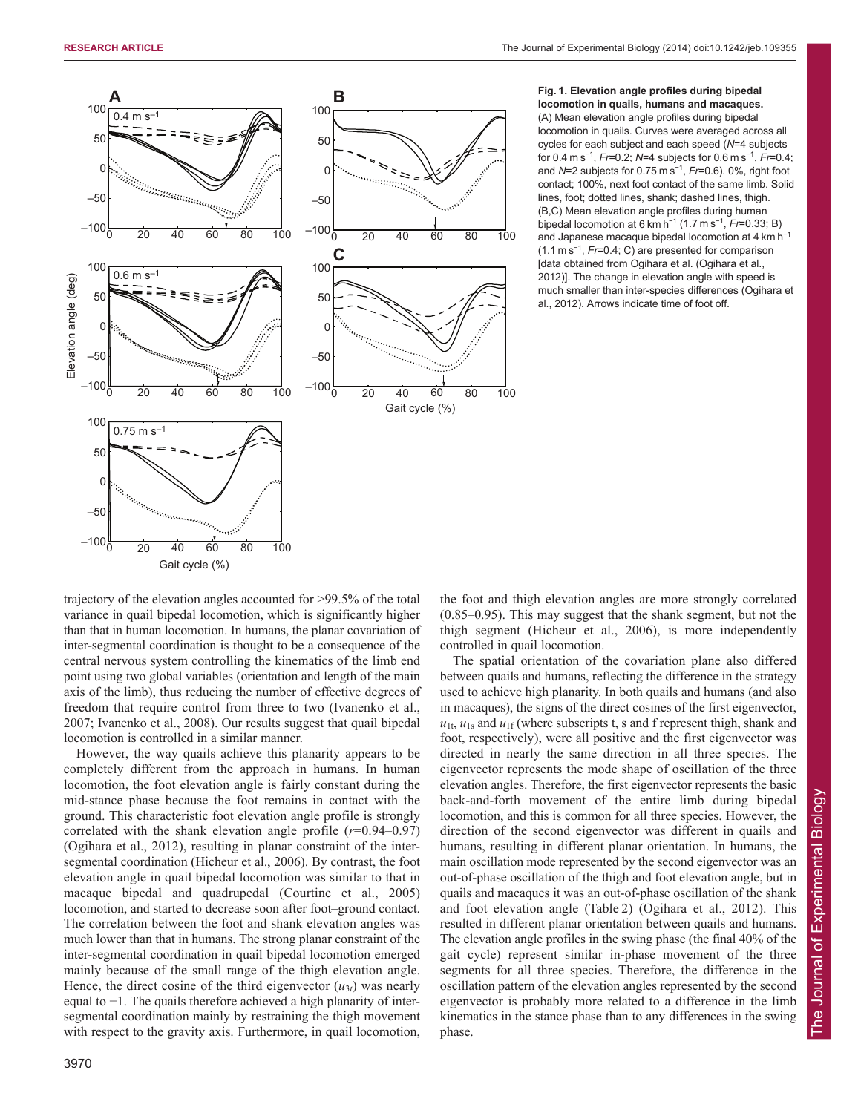

## **Fig. 1. Elevation angle profiles during bipedal locomotion in quails, humans and macaques.** (A) Mean elevation angle profiles during bipedal locomotion in quails. Curves were averaged across all cycles for each subject and each speed (*N*=4 subjects for 0.4 m s<sup>−</sup><sup>1</sup> , *Fr*=0.2; *N*=4 subjects for 0.6 m s<sup>−</sup><sup>1</sup> , *Fr*=0.4; and *N*=2 subjects for 0.75 m s<sup>−</sup><sup>1</sup> , *Fr*=0.6). 0%, right foot contact; 100%, next foot contact of the same limb. Solid lines, foot; dotted lines, shank; dashed lines, thigh. (B,C) Mean elevation angle profiles during human bipedal locomotion at 6 km h<sup>−</sup><sup>1</sup> (1.7 m s<sup>−</sup><sup>1</sup> , *Fr*=0.33; B) and Japanese macaque bipedal locomotion at 4 km h<sup>−</sup><sup>1</sup> (1.1 m s<sup>−</sup><sup>1</sup> , *Fr*=0.4; C) are presented for comparison [data obtained from Ogihara et al. (Ogihara et al., 2012)]. The change in elevation angle with speed is much smaller than inter-species differences (Ogihara et al., 2012). Arrows indicate time of foot off.

trajectory of the elevation angles accounted for >99.5% of the total variance in quail bipedal locomotion, which is significantly higher than that in human locomotion. In humans, the planar covariation of inter-segmental coordination is thought to be a consequence of the central nervous system controlling the kinematics of the limb end point using two global variables (orientation and length of the main axis of the limb), thus reducing the number of effective degrees of freedom that require control from three to two (Ivanenko et al., 2007; Ivanenko et al., 2008). Our results suggest that quail bipedal locomotion is controlled in a similar manner.

However, the way quails achieve this planarity appears to be completely different from the approach in humans. In human locomotion, the foot elevation angle is fairly constant during the mid-stance phase because the foot remains in contact with the ground. This characteristic foot elevation angle profile is strongly correlated with the shank elevation angle profile (*r*=0.94–0.97) (Ogihara et al., 2012), resulting in planar constraint of the intersegmental coordination (Hicheur et al., 2006). By contrast, the foot elevation angle in quail bipedal locomotion was similar to that in macaque bipedal and quadrupedal (Courtine et al., 2005) locomotion, and started to decrease soon after foot–ground contact. The correlation between the foot and shank elevation angles was much lower than that in humans. The strong planar constraint of the inter-segmental coordination in quail bipedal locomotion emerged mainly because of the small range of the thigh elevation angle. Hence, the direct cosine of the third eigenvector  $(u_{3t})$  was nearly equal to −1. The quails therefore achieved a high planarity of intersegmental coordination mainly by restraining the thigh movement with respect to the gravity axis. Furthermore, in quail locomotion,

the foot and thigh elevation angles are more strongly correlated (0.85–0.95). This may suggest that the shank segment, but not the thigh segment (Hicheur et al., 2006), is more independently controlled in quail locomotion.

The spatial orientation of the covariation plane also differed between quails and humans, reflecting the difference in the strategy used to achieve high planarity. In both quails and humans (and also in macaques), the signs of the direct cosines of the first eigenvector,  $u_{1t}$ ,  $u_{1s}$  and  $u_{1f}$  (where subscripts t, s and f represent thigh, shank and foot, respectively), were all positive and the first eigenvector was directed in nearly the same direction in all three species. The eigenvector represents the mode shape of oscillation of the three elevation angles. Therefore, the first eigenvector represents the basic back-and-forth movement of the entire limb during bipedal locomotion, and this is common for all three species. However, the direction of the second eigenvector was different in quails and humans, resulting in different planar orientation. In humans, the main oscillation mode represented by the second eigenvector was an out-of-phase oscillation of the thigh and foot elevation angle, but in quails and macaques it was an out-of-phase oscillation of the shank and foot elevation angle (Table 2) (Ogihara et al., 2012). This resulted in different planar orientation between quails and humans. The elevation angle profiles in the swing phase (the final 40% of the gait cycle) represent similar in-phase movement of the three segments for all three species. Therefore, the difference in the oscillation pattern of the elevation angles represented by the second eigenvector is probably more related to a difference in the limb kinematics in the stance phase than to any differences in the swing phase.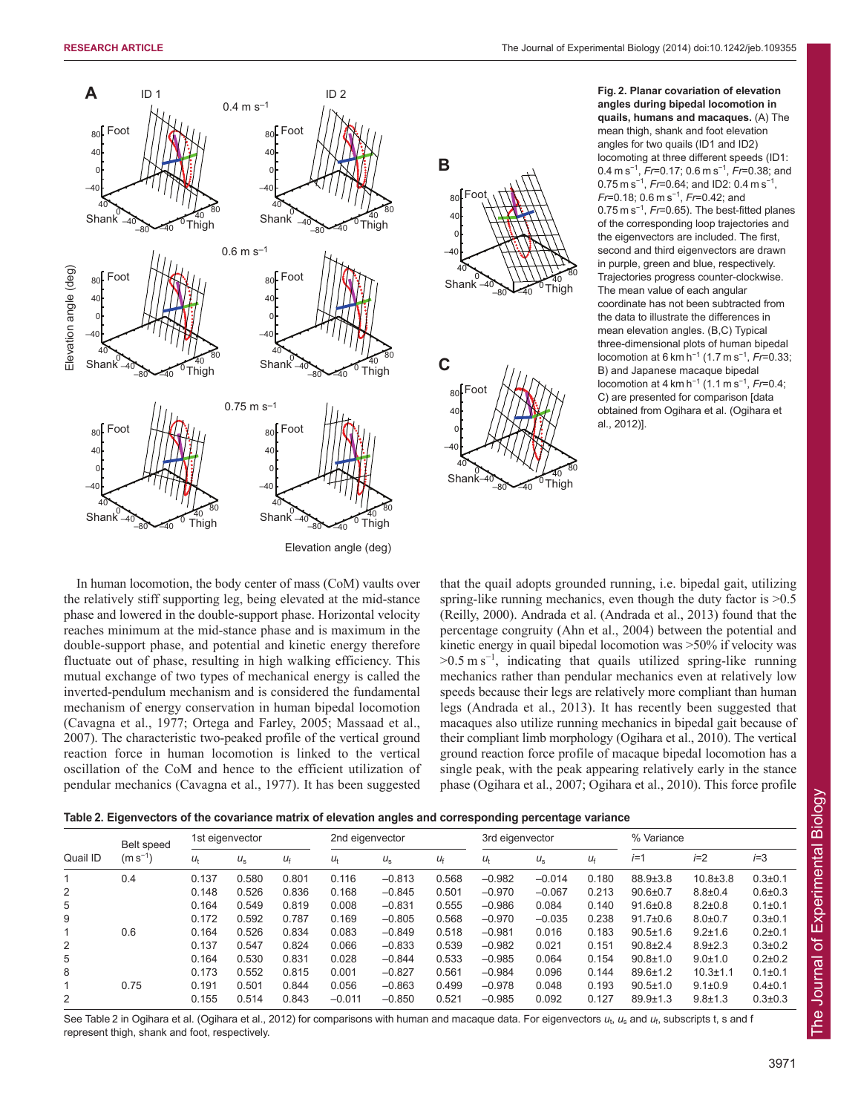–40

–40

0

80

80

40



**Fig. 2. Planar covariation of elevation angles during bipedal locomotion in quails, humans and macaques.** (A) The mean thigh, shank and foot elevation angles for two quails (ID1 and ID2) locomoting at three different speeds (ID1: 0.4 m s<sup>−</sup><sup>1</sup> , *Fr*=0.17; 0.6 m s<sup>−</sup><sup>1</sup> , *Fr*=0.38; and 0.75 m s<sup>-1</sup>, *Fr*=0.64; and ID2: 0.4 m s<sup>-1</sup>, *Fr*=0.18; 0.6 m s<sup>−</sup><sup>1</sup> , *Fr*=0.42; and 0.75 m s<sup>-1</sup>, *Fr*=0.65). The best-fitted planes of the corresponding loop trajectories and the eigenvectors are included. The first, second and third eigenvectors are drawn in purple, green and blue, respectively. Trajectories progress counter-clockwise. The mean value of each angular coordinate has not been subtracted from the data to illustrate the differences in mean elevation angles. (B,C) Typical three-dimensional plots of human bipedal locomotion at 6 km h<sup>-1</sup> (1.7 m s<sup>-1</sup>, *Fr*=0.33; B) and Japanese macaque bipedal locomotion at 4 km h<sup>−</sup><sup>1</sup> (1.1 m s<sup>−</sup><sup>1</sup> , *Fr*=0.4; C) are presented for comparison [data obtained from Ogihara et al. (Ogihara et al., 2012)].

In human locomotion, the body center of mass (CoM) vaults over the relatively stiff supporting leg, being elevated at the mid-stance phase and lowered in the double-support phase. Horizontal velocity reaches minimum at the mid-stance phase and is maximum in the double-support phase, and potential and kinetic energy therefore fluctuate out of phase, resulting in high walking efficiency. This mutual exchange of two types of mechanical energy is called the inverted-pendulum mechanism and is considered the fundamental mechanism of energy conservation in human bipedal locomotion (Cavagna et al., 1977; Ortega and Farley, 2005; Massaad et al., 2007). The characteristic two-peaked profile of the vertical ground reaction force in human locomotion is linked to the vertical oscillation of the CoM and hence to the efficient utilization of pendular mechanics (Cavagna et al., 1977). It has been suggested

that the quail adopts grounded running, i.e. bipedal gait, utilizing spring-like running mechanics, even though the duty factor is  $>0.5$ (Reilly, 2000). Andrada et al. (Andrada et al., 2013) found that the percentage congruity (Ahn et al., 2004) between the potential and kinetic energy in quail bipedal locomotion was >50% if velocity was  $>0.5 \text{ m s}^{-1}$ , indicating that quails utilized spring-like running mechanics rather than pendular mechanics even at relatively low speeds because their legs are relatively more compliant than human legs (Andrada et al., 2013). It has recently been suggested that macaques also utilize running mechanics in bipedal gait because of their compliant limb morphology (Ogihara et al., 2010). The vertical ground reaction force profile of macaque bipedal locomotion has a single peak, with the peak appearing relatively early in the stance phase (Ogihara et al., 2007; Ogihara et al., 2010). This force profile

| Table 2. Eigenvectors of the covariance matrix of elevation angles and corresponding percentage variance |  |  |  |  |
|----------------------------------------------------------------------------------------------------------|--|--|--|--|
|                                                                                                          |  |  |  |  |

| Quail ID | Belt speed<br>$(m s^{-1})$ | 1st eigenvector |             |             | 2nd eigenvector |             |             | 3rd eigenvector |             |             | % Variance     |                |               |  |
|----------|----------------------------|-----------------|-------------|-------------|-----------------|-------------|-------------|-----------------|-------------|-------------|----------------|----------------|---------------|--|
|          |                            | $U_{\dagger}$   | $U_{\rm S}$ | $U_{\rm f}$ | $U_{\dagger}$   | $U_{\rm S}$ | $U_{\rm f}$ | $U_{\dagger}$   | $U_{\rm S}$ | $U_{\rm f}$ | $i=1$          | $i=2$          | $i=3$         |  |
| 1        | 0.4                        | 0.137           | 0.580       | 0.801       | 0.116           | $-0.813$    | 0.568       | $-0.982$        | $-0.014$    | 0.180       | 88.9±3.8       | $10.8 \pm 3.8$ | $0.3{\pm}0.1$ |  |
| 2        |                            | 0.148           | 0.526       | 0.836       | 0.168           | $-0.845$    | 0.501       | $-0.970$        | $-0.067$    | 0.213       | $90.6 \pm 0.7$ | $8.8 \pm 0.4$  | $0.6 + 0.3$   |  |
| 5        |                            | 0.164           | 0.549       | 0.819       | 0.008           | $-0.831$    | 0.555       | $-0.986$        | 0.084       | 0.140       | $91.6 \pm 0.8$ | $8.2 \pm 0.8$  | $0.1 \pm 0.1$ |  |
| 9        |                            | 0.172           | 0.592       | 0.787       | 0.169           | $-0.805$    | 0.568       | $-0.970$        | $-0.035$    | 0.238       | $91.7 \pm 0.6$ | $8.0 + 0.7$    | $0.3{\pm}0.1$ |  |
|          | 0.6                        | 0.164           | 0.526       | 0.834       | 0.083           | $-0.849$    | 0.518       | $-0.981$        | 0.016       | 0.183       | $90.5 \pm 1.6$ | $9.2 \pm 1.6$  | $0.2{\pm}0.1$ |  |
| 2        |                            | 0.137           | 0.547       | 0.824       | 0.066           | $-0.833$    | 0.539       | $-0.982$        | 0.021       | 0.151       | $90.8 + 2.4$   | $8.9 \pm 2.3$  | $0.3 \pm 0.2$ |  |
| 5        |                            | 0.164           | 0.530       | 0.831       | 0.028           | $-0.844$    | 0.533       | $-0.985$        | 0.064       | 0.154       | $90.8 \pm 1.0$ | $9.0 \pm 1.0$  | $0.2 \pm 0.2$ |  |
| 8        |                            | 0.173           | 0.552       | 0.815       | 0.001           | $-0.827$    | 0.561       | $-0.984$        | 0.096       | 0.144       | $89.6 \pm 1.2$ | $10.3 + 1.1$   | $0.1 \pm 0.1$ |  |
| 1        | 0.75                       | 0.191           | 0.501       | 0.844       | 0.056           | $-0.863$    | 0.499       | $-0.978$        | 0.048       | 0.193       | $90.5 \pm 1.0$ | $9.1 \pm 0.9$  | $0.4{\pm}0.1$ |  |
| 2        |                            | 0.155           | 0.514       | 0.843       | $-0.011$        | $-0.850$    | 0.521       | $-0.985$        | 0.092       | 0.127       | $89.9 \pm 1.3$ | $9.8 + 1.3$    | $0.3 \pm 0.3$ |  |

See Table 2 in Ogihara et al. (Ogihara et al., 2012) for comparisons with human and macaque data. For eigenvectors  $u_t$ ,  $u_s$  and  $u_f$ , subscripts t, s and f represent thigh, shank and foot, respectively.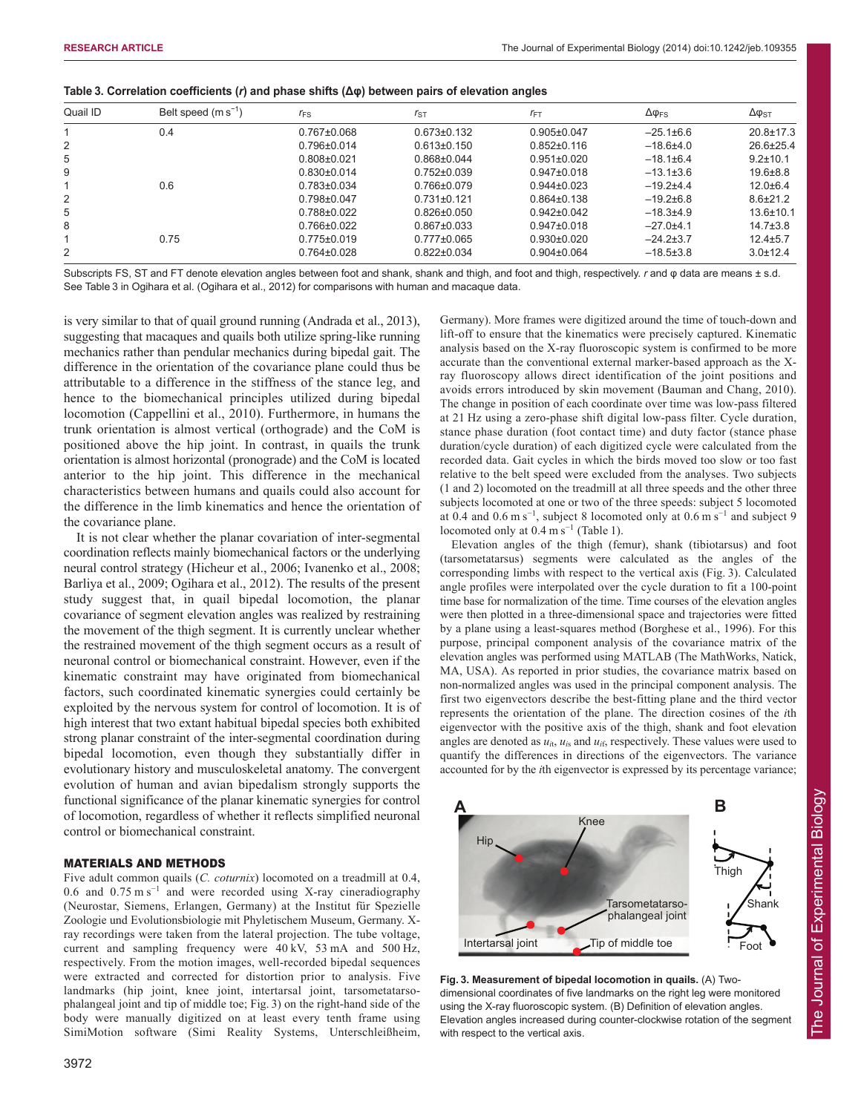| Quail ID       | Belt speed $(m s^{-1})$ | $r_{FS}$          | $r_{ST}$          | $r_{\text{FT}}$   | $\Delta \phi_{FS}$ | $\Delta \phi_{\rm ST}$ |
|----------------|-------------------------|-------------------|-------------------|-------------------|--------------------|------------------------|
|                | 0.4                     | $0.767 \pm 0.068$ | $0.673 \pm 0.132$ | $0.905 \pm 0.047$ | $-25.1\pm6.6$      | $20.8 \pm 17.3$        |
| 2              |                         | $0.796 \pm 0.014$ | $0.613 \pm 0.150$ | $0.852 \pm 0.116$ | $-18.6+4.0$        | $26.6 \pm 25.4$        |
| 5              |                         | $0.808 \pm 0.021$ | $0.868 \pm 0.044$ | $0.951 \pm 0.020$ | $-18.1\pm 6.4$     | $9.2 \pm 10.1$         |
| 9              |                         | $0.830\pm0.014$   | $0.752\pm0.039$   | $0.947 \pm 0.018$ | $-13.1 \pm 3.6$    | $19.6 + 8.8$           |
|                | 0.6                     | $0.783 \pm 0.034$ | $0.766 \pm 0.079$ | $0.944\pm0.023$   | $-19.2+4.4$        | $12.0 + 6.4$           |
| 2              |                         | $0.798 \pm 0.047$ | $0.731 \pm 0.121$ | $0.864 \pm 0.138$ | $-19.2+6.8$        | $8.6 \pm 21.2$         |
| 5              |                         | $0.788 \pm 0.022$ | $0.826 \pm 0.050$ | $0.942 \pm 0.042$ | $-18.3+4.9$        | $13.6 \pm 10.1$        |
| 8              |                         | $0.766 \pm 0.022$ | $0.867 \pm 0.033$ | $0.947 \pm 0.018$ | $-27.0+4.1$        | $14.7 \pm 3.8$         |
|                | 0.75                    | $0.775 \pm 0.019$ | $0.777 \pm 0.065$ | $0.930\pm0.020$   | $-24.2+3.7$        | $12.4 + 5.7$           |
| $\overline{2}$ |                         | $0.764 \pm 0.028$ | $0.822 \pm 0.034$ | $0.904 \pm 0.064$ | $-18.5 \pm 3.8$    | $3.0 \pm 12.4$         |

| Table 3. Correlation coefficients (r) and phase shifts ( $\Delta\varphi$ ) between pairs of elevation angles |  |  |  |  |  |
|--------------------------------------------------------------------------------------------------------------|--|--|--|--|--|
|                                                                                                              |  |  |  |  |  |

Subscripts FS, ST and FT denote elevation angles between foot and shank, shank and thigh, and foot and thigh, respectively. *r* and φ data are means ± s.d. See Table 3 in Ogihara et al. (Ogihara et al., 2012) for comparisons with human and macaque data.

is very similar to that of quail ground running (Andrada et al., 2013), suggesting that macaques and quails both utilize spring-like running mechanics rather than pendular mechanics during bipedal gait. The difference in the orientation of the covariance plane could thus be attributable to a difference in the stiffness of the stance leg, and hence to the biomechanical principles utilized during bipedal locomotion (Cappellini et al., 2010). Furthermore, in humans the trunk orientation is almost vertical (orthograde) and the CoM is positioned above the hip joint. In contrast, in quails the trunk orientation is almost horizontal (pronograde) and the CoM is located anterior to the hip joint. This difference in the mechanical characteristics between humans and quails could also account for the difference in the limb kinematics and hence the orientation of the covariance plane.

It is not clear whether the planar covariation of inter-segmental coordination reflects mainly biomechanical factors or the underlying neural control strategy (Hicheur et al., 2006; Ivanenko et al., 2008; Barliya et al., 2009; Ogihara et al., 2012). The results of the present study suggest that, in quail bipedal locomotion, the planar covariance of segment elevation angles was realized by restraining the movement of the thigh segment. It is currently unclear whether the restrained movement of the thigh segment occurs as a result of neuronal control or biomechanical constraint. However, even if the kinematic constraint may have originated from biomechanical factors, such coordinated kinematic synergies could certainly be exploited by the nervous system for control of locomotion. It is of high interest that two extant habitual bipedal species both exhibited strong planar constraint of the inter-segmental coordination during bipedal locomotion, even though they substantially differ in evolutionary history and musculoskeletal anatomy. The convergent evolution of human and avian bipedalism strongly supports the functional significance of the planar kinematic synergies for control of locomotion, regardless of whether it reflects simplified neuronal control or biomechanical constraint.

## MATERIALS AND METHODS

Five adult common quails (*C. coturnix*) locomoted on a treadmill at 0.4, 0.6 and 0.75 m s<sup>−</sup><sup>1</sup> and were recorded using X-ray cineradiography (Neurostar, Siemens, Erlangen, Germany) at the Institut für Spezielle Zoologie und Evolutionsbiologie mit Phyletischem Museum, Germany. Xray recordings were taken from the lateral projection. The tube voltage, current and sampling frequency were 40 kV, 53 mA and 500 Hz, respectively. From the motion images, well-recorded bipedal sequences were extracted and corrected for distortion prior to analysis. Five landmarks (hip joint, knee joint, intertarsal joint, tarsometatarsophalangeal joint and tip of middle toe; Fig. 3) on the right-hand side of the body were manually digitized on at least every tenth frame using SimiMotion software (Simi Reality Systems, Unterschleißheim, lift-off to ensure that the kinematics were precisely captured. Kinematic analysis based on the X-ray fluoroscopic system is confirmed to be more accurate than the conventional external marker-based approach as the Xray fluoroscopy allows direct identification of the joint positions and avoids errors introduced by skin movement (Bauman and Chang, 2010). The change in position of each coordinate over time was low-pass filtered at 21 Hz using a zero-phase shift digital low-pass filter. Cycle duration, stance phase duration (foot contact time) and duty factor (stance phase duration/cycle duration) of each digitized cycle were calculated from the recorded data. Gait cycles in which the birds moved too slow or too fast relative to the belt speed were excluded from the analyses. Two subjects (1 and 2) locomoted on the treadmill at all three speeds and the other three subjects locomoted at one or two of the three speeds: subject 5 locomoted at 0.4 and 0.6 m s<sup>-1</sup>, subject 8 locomoted only at 0.6 m s<sup>-1</sup> and subject 9 locomoted only at  $0.4 \text{ m s}^{-1}$  (Table 1). Elevation angles of the thigh (femur), shank (tibiotarsus) and foot

Germany). More frames were digitized around the time of touch-down and

(tarsometatarsus) segments were calculated as the angles of the corresponding limbs with respect to the vertical axis (Fig. 3). Calculated angle profiles were interpolated over the cycle duration to fit a 100-point time base for normalization of the time. Time courses of the elevation angles were then plotted in a three-dimensional space and trajectories were fitted by a plane using a least-squares method (Borghese et al., 1996). For this purpose, principal component analysis of the covariance matrix of the elevation angles was performed using MATLAB (The MathWorks, Natick, MA, USA). As reported in prior studies, the covariance matrix based on non-normalized angles was used in the principal component analysis. The first two eigenvectors describe the best-fitting plane and the third vector represents the orientation of the plane. The direction cosines of the *i*th eigenvector with the positive axis of the thigh, shank and foot elevation angles are denoted as  $u_{it}$ ,  $u_{is}$  and  $u_{it}$ , respectively. These values were used to quantify the differences in directions of the eigenvectors. The variance accounted for by the *i*th eigenvector is expressed by its percentage variance;



**Fig. 3. Measurement of bipedal locomotion in quails.** (A) Twodimensional coordinates of five landmarks on the right leg were monitored using the X-ray fluoroscopic system. (B) Definition of elevation angles. Elevation angles increased during counter-clockwise rotation of the segment with respect to the vertical axis.